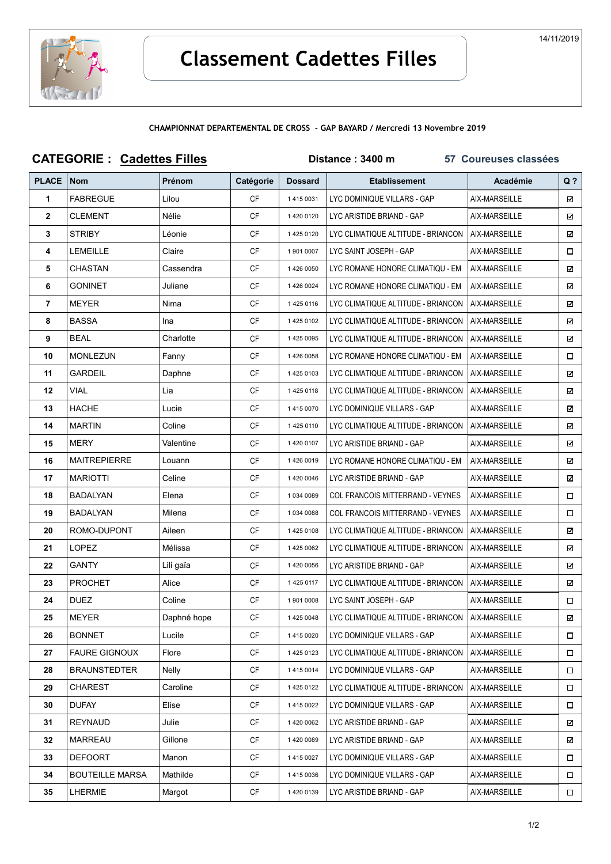

|              | <b>CATEGORIE: Cadettes Filles</b> |               |           | Distance: 3400 m<br>57 Coureuses classées |                                    |               |        |  |
|--------------|-----------------------------------|---------------|-----------|-------------------------------------------|------------------------------------|---------------|--------|--|
| <b>PLACE</b> | <b>Nom</b>                        | <b>Prénom</b> | Catégorie | <b>Dossard</b>                            | <b>Etablissement</b>               | Académie      | $Q$ ?  |  |
| 1            | <b>FABREGUE</b>                   | Lilou         | <b>CF</b> | 1 4 1 5 0 0 3 1                           | LYC DOMINIQUE VILLARS - GAP        | AIX-MARSEILLE | ☑      |  |
| $\mathbf{2}$ | CLEMENT                           | Nélie         | <b>CF</b> | 1420 0120                                 | LYC ARISTIDE BRIAND - GAP          | AIX-MARSEILLE | ☑      |  |
| 3            | <b>STRIBY</b>                     | Léonie        | СF        | 1 425 0120                                | LYC CLIMATIQUE ALTITUDE - BRIANCON | AIX-MARSEILLE | ☑      |  |
| 4            | LEMEILLE                          | Claire        | СF        | 1 901 0007                                | LYC SAINT JOSEPH - GAP             | AIX-MARSEILLE | □      |  |
| 5            | CHASTAN                           | Cassendra     | СF        | 1426 0050                                 | LYC ROMANE HONORE CLIMATIQU - EM   | AIX-MARSEILLE | ☑      |  |
| 6            | GONINET                           | Juliane       | СF        | 1426 0024                                 | LYC ROMANE HONORE CLIMATIQU - EM   | AIX-MARSEILLE | ☑      |  |
| 7            | <b>MEYER</b>                      | Nima          | <b>CF</b> | 14250116                                  | LYC CLIMATIQUE ALTITUDE - BRIANCON | AIX-MARSEILLE | ☑      |  |
| 8            | <b>BASSA</b>                      | Ina           | СF        | 14250102                                  | LYC CLIMATIQUE ALTITUDE - BRIANCON | AIX-MARSEILLE | ☑      |  |
| 9            | BEAL                              | Charlotte     | СF        | 1 425 0095                                | LYC CLIMATIQUE ALTITUDE - BRIANCON | AIX-MARSEILLE | ☑      |  |
| 10           | <b>MONLEZUN</b>                   | Fanny         | СF        | 1426 0058                                 | LYC ROMANE HONORE CLIMATIQU - EM   | AIX-MARSEILLE | □      |  |
| 11           | GARDEIL                           | Daphne        | СF        | 14250103                                  | LYC CLIMATIQUE ALTITUDE - BRIANCON | AIX-MARSEILLE | ☑      |  |
| 12           | VIAL                              | Lia           | СF        | 1425 0118                                 | LYC CLIMATIQUE ALTITUDE - BRIANCON | AIX-MARSEILLE | ☑      |  |
| 13           | <b>HACHE</b>                      | Lucie         | СF        | 1415 0070                                 | LYC DOMINIQUE VILLARS - GAP        | AIX-MARSEILLE | ☑      |  |
| 14           | <b>MARTIN</b>                     | Coline        | <b>CF</b> | 1 425 0110                                | LYC CLIMATIQUE ALTITUDE - BRIANCON | AIX-MARSEILLE | ☑      |  |
| 15           | MERY                              | Valentine     | СF        | 1 420 0107                                | LYC ARISTIDE BRIAND - GAP          | AIX-MARSEILLE | ☑      |  |
| 16           | <b>MAITREPIERRE</b>               | Louann        | СF        | 1426 0019                                 | LYC ROMANE HONORE CLIMATIQU - EM   | AIX-MARSEILLE | ☑      |  |
| 17           | <b>MARIOTTI</b>                   | Celine        | СF        | 1420 0046                                 | LYC ARISTIDE BRIAND - GAP          | AIX-MARSEILLE | ☑      |  |
| 18           | <b>BADALYAN</b>                   | Elena         | CF        | 1 034 0089                                | COL FRANCOIS MITTERRAND - VEYNES   | AIX-MARSEILLE | □      |  |
| 19           | <b>BADALYAN</b>                   | Milena        | <b>CF</b> | 1 034 0088                                | COL FRANCOIS MITTERRAND - VEYNES   | AIX-MARSEILLE | □      |  |
| 20           | ROMO-DUPONT                       | Aileen        | СF        | 14250108                                  | LYC CLIMATIQUE ALTITUDE - BRIANCON | AIX-MARSEILLE | ☑      |  |
| 21           | <b>LOPEZ</b>                      | Mélissa       | <b>CF</b> | 1 425 0062                                | LYC CLIMATIQUE ALTITUDE - BRIANCON | AIX-MARSEILLE | ☑      |  |
| 22           | <b>GANTY</b>                      | Lili gaïa     | СF        | 1 420 0056                                | LYC ARISTIDE BRIAND - GAP          | AIX-MARSEILLE | ☑      |  |
| 23           | <b>PROCHET</b>                    | Alice         | СF        | 1 425 0117                                | LYC CLIMATIQUE ALTITUDE - BRIANCON | AIX-MARSEILLE | ☑      |  |
| 24           | <b>DUEZ</b>                       | Coline        | <b>CF</b> | 1 901 0008                                | LYC SAINT JOSEPH - GAP             | AIX-MARSEILLE | □      |  |
| 25           | <b>MEYER</b>                      | Daphné hope   | <b>CF</b> | 1 425 0048                                | LYC CLIMATIQUE ALTITUDE - BRIANCON | AIX-MARSEILLE | ☑      |  |
| 26           | <b>BONNET</b>                     | Lucile        | CF        | 1 415 0020                                | LYC DOMINIQUE VILLARS - GAP        | AIX-MARSEILLE | $\Box$ |  |
| 27           | <b>FAURE GIGNOUX</b>              | Flore         | CF        | 1 425 0123                                | LYC CLIMATIQUE ALTITUDE - BRIANCON | AIX-MARSEILLE | □      |  |
| 28           | <b>BRAUNSTEDTER</b>               | Nelly         | CF        | 1 415 0014                                | LYC DOMINIQUE VILLARS - GAP        | AIX-MARSEILLE | □      |  |
| 29           | CHAREST                           | Caroline      | CF        | 1 425 0122                                | LYC CLIMATIQUE ALTITUDE - BRIANCON | AIX-MARSEILLE | □      |  |
| 30           | <b>DUFAY</b>                      | Elise         | <b>CF</b> | 1 415 0022                                | LYC DOMINIQUE VILLARS - GAP        | AIX-MARSEILLE | □      |  |
| 31           | <b>REYNAUD</b>                    | Julie         | CF        | 1 420 0062                                | LYC ARISTIDE BRIAND - GAP          | AIX-MARSEILLE | ☑      |  |
| 32           | <b>MARREAU</b>                    | Gillone       | CF        | 1420 0089                                 | LYC ARISTIDE BRIAND - GAP          | AIX-MARSEILLE | ☑      |  |
| 33           | <b>DEFOORT</b>                    | Manon         | <b>CF</b> | 1415 0027                                 | LYC DOMINIQUE VILLARS - GAP        | AIX-MARSEILLE | □      |  |
| 34           | <b>BOUTEILLE MARSA</b>            | Mathilde      | CF        | 14150036                                  | LYC DOMINIQUE VILLARS - GAP        | AIX-MARSEILLE | 0      |  |
| 35           | LHERMIE                           | Margot        | CF        | 1 420 0139                                | LYC ARISTIDE BRIAND - GAP          | AIX-MARSEILLE | $\Box$ |  |